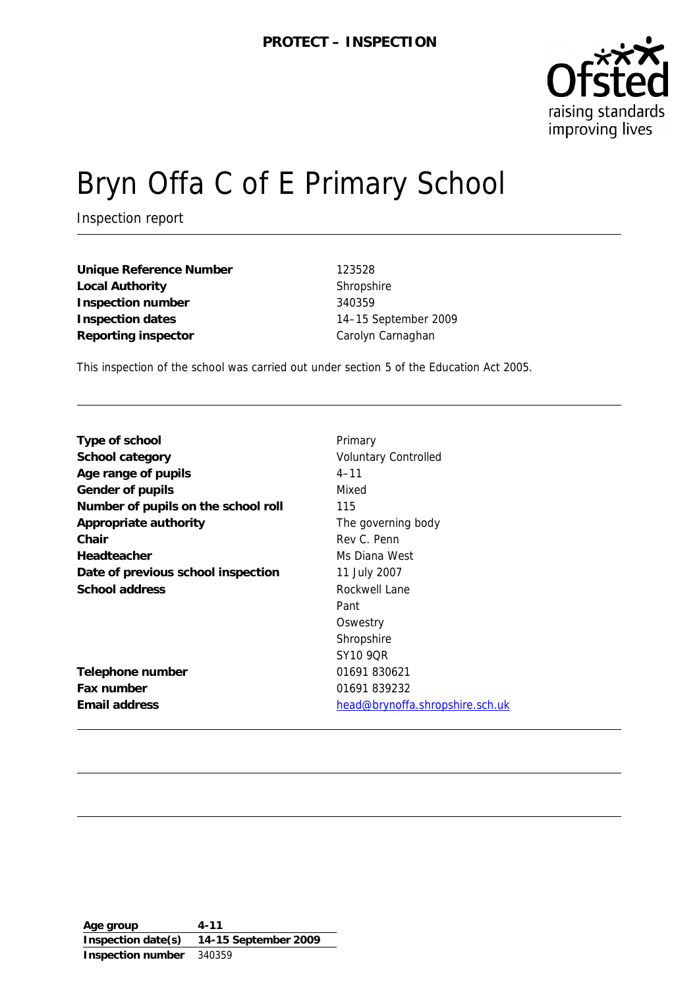

# Bryn Offa C of E Primary School

Inspection report

**Unique Reference Number** 123528 Local Authority **Shropshire** Shropshire **Inspection number** 340359 **Inspection dates** 14–15 September 2009 **Reporting inspector** Carolyn Carnaghan

This inspection of the school was carried out under section 5 of the Education Act 2005.

| Type of school                      | Primary                                |
|-------------------------------------|----------------------------------------|
| School category                     | <b>Voluntary Controlled</b>            |
| Age range of pupils                 | $4 - 11$                               |
| Gender of pupils                    | Mixed                                  |
| Number of pupils on the school roll | 115                                    |
| Appropriate authority               | The governing body                     |
| Chair                               | Rev C. Penn                            |
| Headteacher                         | Ms Diana West                          |
| Date of previous school inspection  | 11 July 2007                           |
| School address                      | Rockwell Lane                          |
|                                     | Pant                                   |
|                                     | Oswestry                               |
|                                     | Shropshire                             |
|                                     | SY10 9OR                               |
| Telephone number                    | 01691 830621                           |
| Fax number                          | 01691 839232                           |
| Email address                       | <u>head@brynoffa.shropshire.sch.uk</u> |

**Age group 4-11 Inspection date(s) 14-15 September 2009 Inspection number** 340359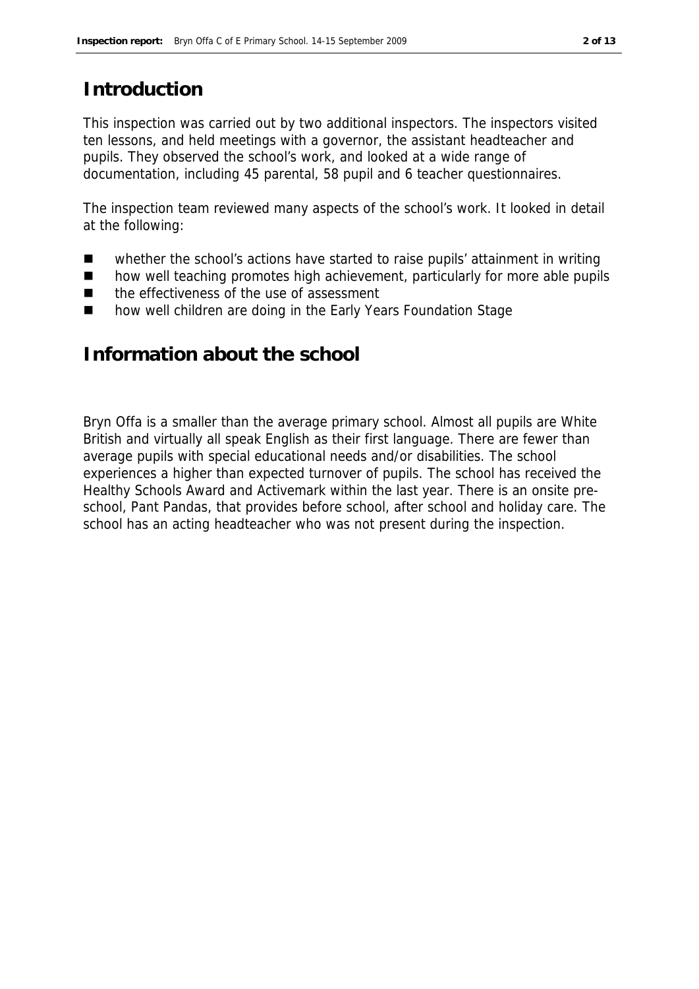# **Introduction**

This inspection was carried out by two additional inspectors. The inspectors visited ten lessons, and held meetings with a governor, the assistant headteacher and pupils. They observed the school's work, and looked at a wide range of documentation, including 45 parental, 58 pupil and 6 teacher questionnaires.

The inspection team reviewed many aspects of the school's work. It looked in detail at the following:

- whether the school's actions have started to raise pupils' attainment in writing
- how well teaching promotes high achievement, particularly for more able pupils
- the effectiveness of the use of assessment
- how well children are doing in the Early Years Foundation Stage

## **Information about the school**

Bryn Offa is a smaller than the average primary school. Almost all pupils are White British and virtually all speak English as their first language. There are fewer than average pupils with special educational needs and/or disabilities. The school experiences a higher than expected turnover of pupils. The school has received the Healthy Schools Award and Activemark within the last year. There is an onsite preschool, Pant Pandas, that provides before school, after school and holiday care. The school has an acting headteacher who was not present during the inspection.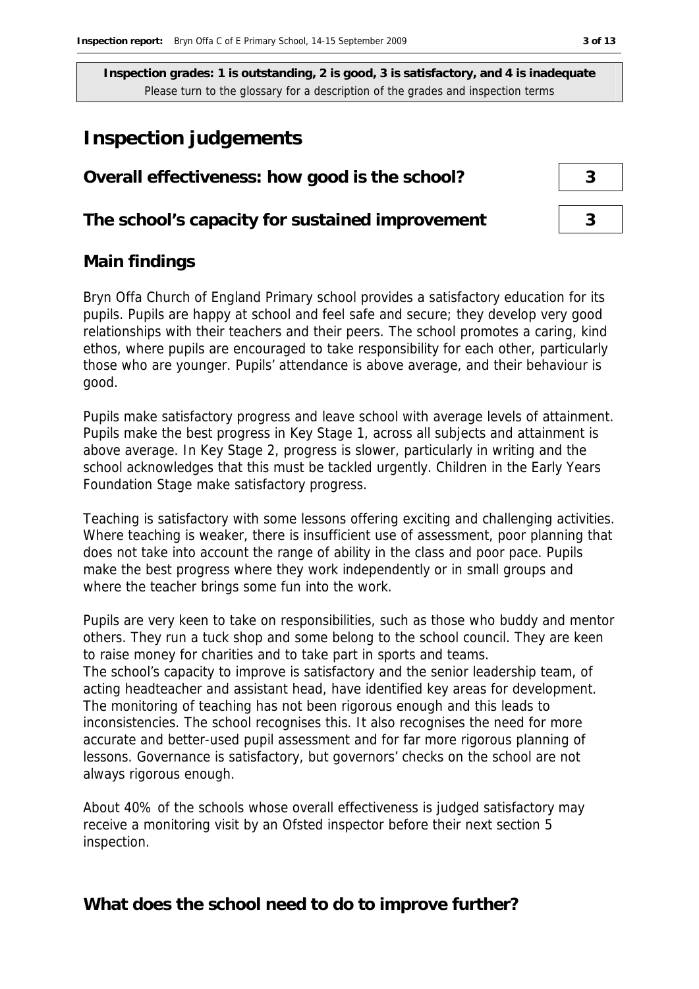## **Inspection judgements**

# **Overall effectiveness: how good is the school? 3**

**The school's capacity for sustained improvement 3**

#### **Main findings**

Bryn Offa Church of England Primary school provides a satisfactory education for its pupils. Pupils are happy at school and feel safe and secure; they develop very good relationships with their teachers and their peers. The school promotes a caring, kind ethos, where pupils are encouraged to take responsibility for each other, particularly those who are younger. Pupils' attendance is above average, and their behaviour is good.

Pupils make satisfactory progress and leave school with average levels of attainment. Pupils make the best progress in Key Stage 1, across all subjects and attainment is above average. In Key Stage 2, progress is slower, particularly in writing and the school acknowledges that this must be tackled urgently. Children in the Early Years Foundation Stage make satisfactory progress.

Teaching is satisfactory with some lessons offering exciting and challenging activities. Where teaching is weaker, there is insufficient use of assessment, poor planning that does not take into account the range of ability in the class and poor pace. Pupils make the best progress where they work independently or in small groups and where the teacher brings some fun into the work.

Pupils are very keen to take on responsibilities, such as those who buddy and mentor others. They run a tuck shop and some belong to the school council. They are keen to raise money for charities and to take part in sports and teams. The school's capacity to improve is satisfactory and the senior leadership team, of acting headteacher and assistant head, have identified key areas for development. The monitoring of teaching has not been rigorous enough and this leads to inconsistencies. The school recognises this. It also recognises the need for more accurate and better-used pupil assessment and for far more rigorous planning of lessons. Governance is satisfactory, but governors' checks on the school are not always rigorous enough.

About 40% of the schools whose overall effectiveness is judged satisfactory may receive a monitoring visit by an Ofsted inspector before their next section 5 inspection.

**What does the school need to do to improve further?**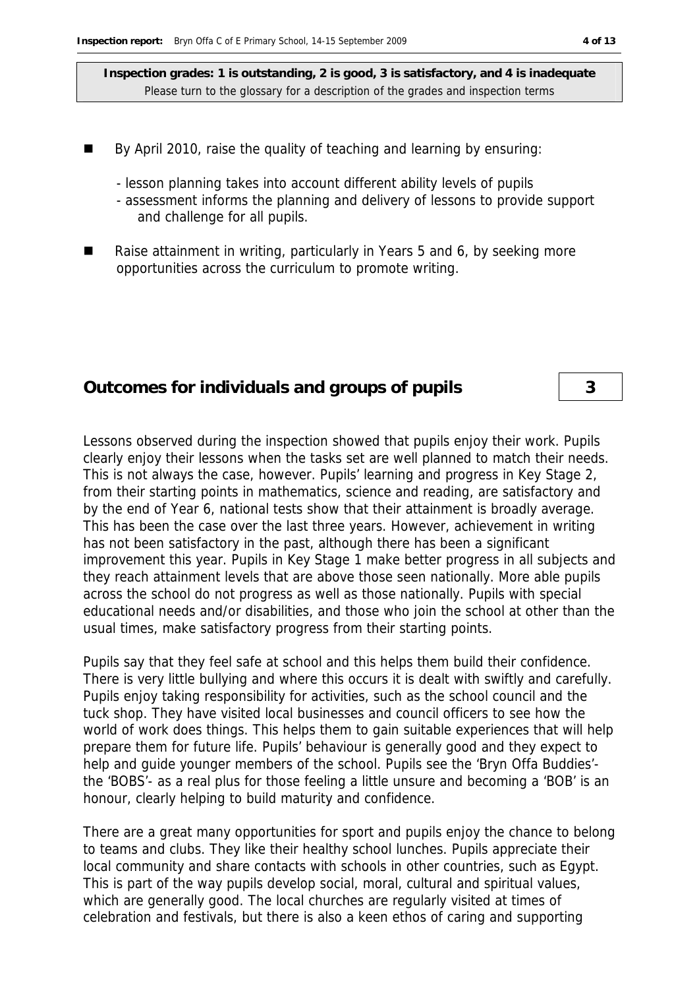- By April 2010, raise the quality of teaching and learning by ensuring:
	- lesson planning takes into account different ability levels of pupils
	- assessment informs the planning and delivery of lessons to provide support and challenge for all pupils.
- Raise attainment in writing, particularly in Years 5 and 6, by seeking more opportunities across the curriculum to promote writing.

#### **Outcomes for individuals and groups of pupils 3**

Lessons observed during the inspection showed that pupils enjoy their work. Pupils clearly enjoy their lessons when the tasks set are well planned to match their needs. This is not always the case, however. Pupils' learning and progress in Key Stage 2, from their starting points in mathematics, science and reading, are satisfactory and by the end of Year 6, national tests show that their attainment is broadly average. This has been the case over the last three years. However, achievement in writing has not been satisfactory in the past, although there has been a significant improvement this year. Pupils in Key Stage 1 make better progress in all subjects and they reach attainment levels that are above those seen nationally. More able pupils across the school do not progress as well as those nationally. Pupils with special educational needs and/or disabilities, and those who join the school at other than the usual times, make satisfactory progress from their starting points.

Pupils say that they feel safe at school and this helps them build their confidence. There is very little bullying and where this occurs it is dealt with swiftly and carefully. Pupils enjoy taking responsibility for activities, such as the school council and the tuck shop. They have visited local businesses and council officers to see how the world of work does things. This helps them to gain suitable experiences that will help prepare them for future life. Pupils' behaviour is generally good and they expect to help and guide younger members of the school. Pupils see the 'Bryn Offa Buddies' the 'BOBS'- as a real plus for those feeling a little unsure and becoming a 'BOB' is an honour, clearly helping to build maturity and confidence.

There are a great many opportunities for sport and pupils enjoy the chance to belong to teams and clubs. They like their healthy school lunches. Pupils appreciate their local community and share contacts with schools in other countries, such as Egypt. This is part of the way pupils develop social, moral, cultural and spiritual values, which are generally good. The local churches are regularly visited at times of celebration and festivals, but there is also a keen ethos of caring and supporting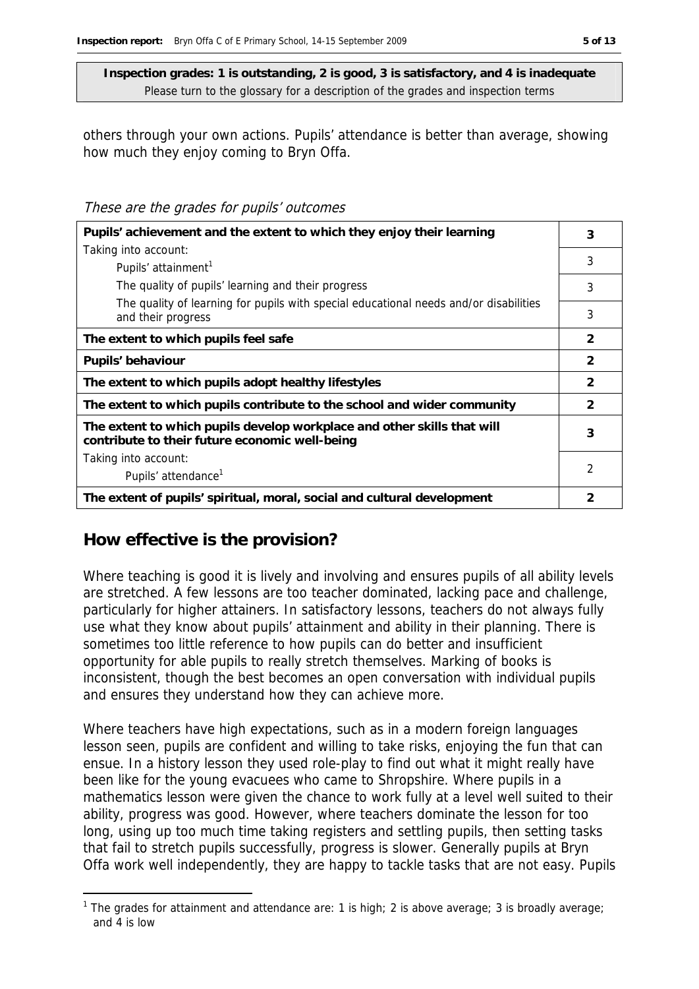others through your own actions. Pupils' attendance is better than average, showing how much they enjoy coming to Bryn Offa.

These are the grades for pupils' outcomes

| Pupils' achievement and the extent to which they enjoy their learning                                                     |                |
|---------------------------------------------------------------------------------------------------------------------------|----------------|
| Taking into account:                                                                                                      | 3              |
| Pupils' attainment <sup>1</sup>                                                                                           |                |
| The quality of pupils' learning and their progress                                                                        | 3              |
| The quality of learning for pupils with special educational needs and/or disabilities<br>and their progress               | 3              |
| The extent to which pupils feel safe                                                                                      | $\mathcal{P}$  |
| Pupils' behaviour                                                                                                         | $\overline{2}$ |
| The extent to which pupils adopt healthy lifestyles                                                                       | $\mathcal{P}$  |
| The extent to which pupils contribute to the school and wider community                                                   | $\mathcal{P}$  |
| The extent to which pupils develop workplace and other skills that will<br>contribute to their future economic well-being | 3              |
| Taking into account:                                                                                                      |                |
| Pupils' attendance <sup>1</sup>                                                                                           | 2              |
| The extent of pupils' spiritual, moral, social and cultural development                                                   | 2              |

## **How effective is the provision?**

-

Where teaching is good it is lively and involving and ensures pupils of all ability levels are stretched. A few lessons are too teacher dominated, lacking pace and challenge, particularly for higher attainers. In satisfactory lessons, teachers do not always fully use what they know about pupils' attainment and ability in their planning. There is sometimes too little reference to how pupils can do better and insufficient opportunity for able pupils to really stretch themselves. Marking of books is inconsistent, though the best becomes an open conversation with individual pupils and ensures they understand how they can achieve more.

Where teachers have high expectations, such as in a modern foreign languages lesson seen, pupils are confident and willing to take risks, enjoying the fun that can ensue. In a history lesson they used role-play to find out what it might really have been like for the young evacuees who came to Shropshire. Where pupils in a mathematics lesson were given the chance to work fully at a level well suited to their ability, progress was good. However, where teachers dominate the lesson for too long, using up too much time taking registers and settling pupils, then setting tasks that fail to stretch pupils successfully, progress is slower. Generally pupils at Bryn Offa work well independently, they are happy to tackle tasks that are not easy. Pupils

<sup>&</sup>lt;sup>1</sup> The grades for attainment and attendance are: 1 is high; 2 is above average; 3 is broadly average; and 4 is low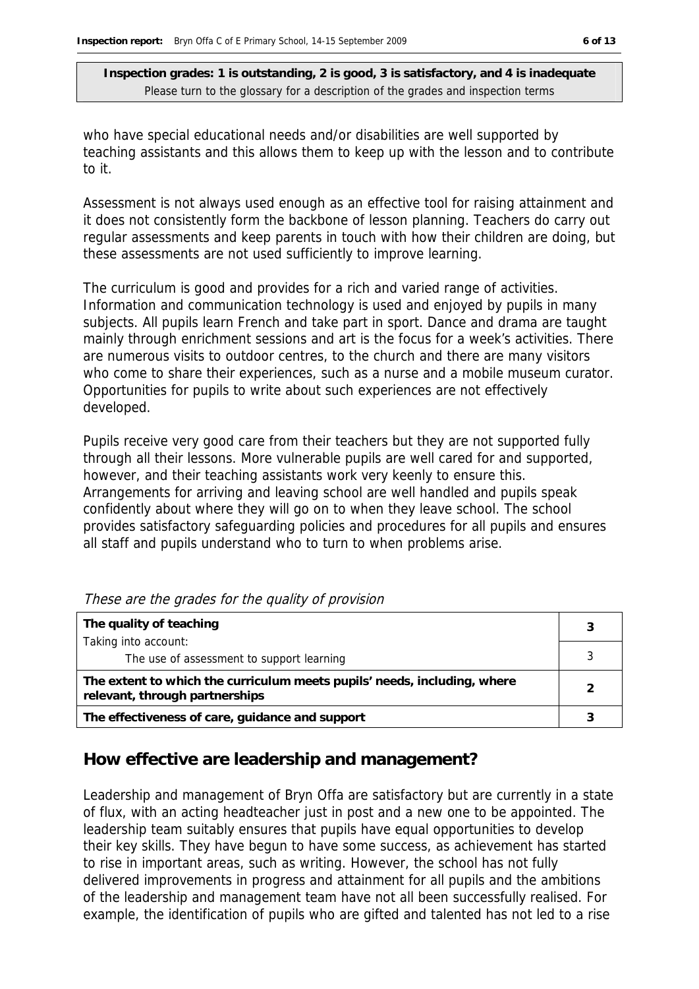who have special educational needs and/or disabilities are well supported by teaching assistants and this allows them to keep up with the lesson and to contribute to it.

Assessment is not always used enough as an effective tool for raising attainment and it does not consistently form the backbone of lesson planning. Teachers do carry out regular assessments and keep parents in touch with how their children are doing, but these assessments are not used sufficiently to improve learning.

The curriculum is good and provides for a rich and varied range of activities. Information and communication technology is used and enjoyed by pupils in many subjects. All pupils learn French and take part in sport. Dance and drama are taught mainly through enrichment sessions and art is the focus for a week's activities. There are numerous visits to outdoor centres, to the church and there are many visitors who come to share their experiences, such as a nurse and a mobile museum curator. Opportunities for pupils to write about such experiences are not effectively developed.

Pupils receive very good care from their teachers but they are not supported fully through all their lessons. More vulnerable pupils are well cared for and supported, however, and their teaching assistants work very keenly to ensure this. Arrangements for arriving and leaving school are well handled and pupils speak confidently about where they will go on to when they leave school. The school provides satisfactory safeguarding policies and procedures for all pupils and ensures all staff and pupils understand who to turn to when problems arise.

| The quality of teaching                                                                                    |  |
|------------------------------------------------------------------------------------------------------------|--|
| Taking into account:                                                                                       |  |
| The use of assessment to support learning                                                                  |  |
| The extent to which the curriculum meets pupils' needs, including, where<br>relevant, through partnerships |  |
| The effectiveness of care, guidance and support                                                            |  |

|  | These are the grades for the quality of provision |  |  |
|--|---------------------------------------------------|--|--|
|  |                                                   |  |  |

#### **How effective are leadership and management?**

Leadership and management of Bryn Offa are satisfactory but are currently in a state of flux, with an acting headteacher just in post and a new one to be appointed. The leadership team suitably ensures that pupils have equal opportunities to develop their key skills. They have begun to have some success, as achievement has started to rise in important areas, such as writing. However, the school has not fully delivered improvements in progress and attainment for all pupils and the ambitions of the leadership and management team have not all been successfully realised. For example, the identification of pupils who are gifted and talented has not led to a rise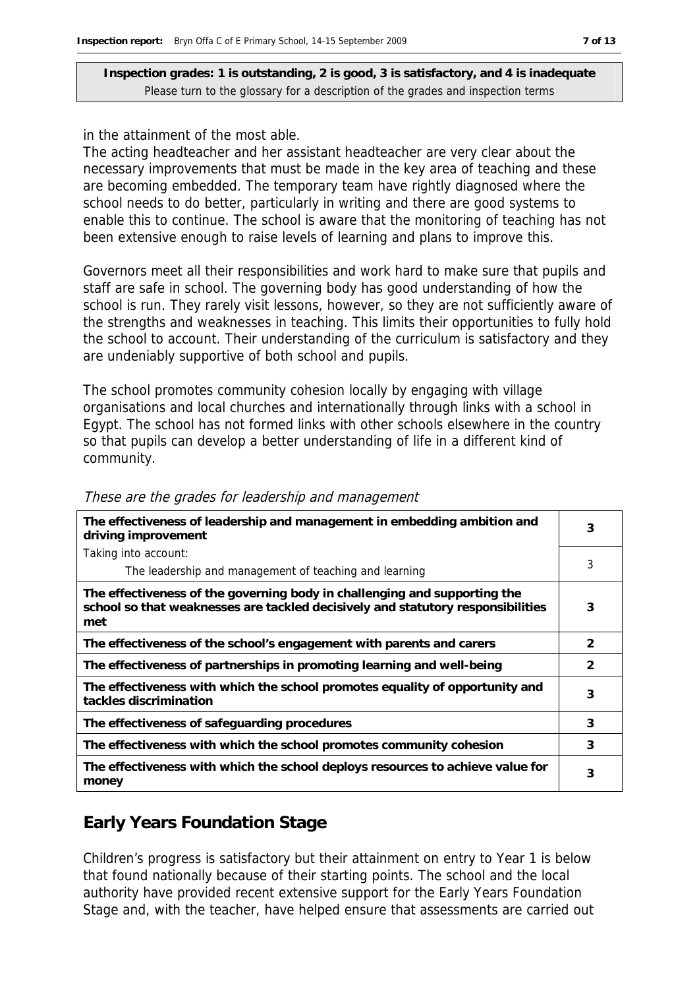in the attainment of the most able.

The acting headteacher and her assistant headteacher are very clear about the necessary improvements that must be made in the key area of teaching and these are becoming embedded. The temporary team have rightly diagnosed where the school needs to do better, particularly in writing and there are good systems to enable this to continue. The school is aware that the monitoring of teaching has not been extensive enough to raise levels of learning and plans to improve this.

Governors meet all their responsibilities and work hard to make sure that pupils and staff are safe in school. The governing body has good understanding of how the school is run. They rarely visit lessons, however, so they are not sufficiently aware of the strengths and weaknesses in teaching. This limits their opportunities to fully hold the school to account. Their understanding of the curriculum is satisfactory and they are undeniably supportive of both school and pupils.

The school promotes community cohesion locally by engaging with village organisations and local churches and internationally through links with a school in Egypt. The school has not formed links with other schools elsewhere in the country so that pupils can develop a better understanding of life in a different kind of community.

| The effectiveness of leadership and management in embedding ambition and<br>driving improvement                                                                     | 3             |
|---------------------------------------------------------------------------------------------------------------------------------------------------------------------|---------------|
| Taking into account:                                                                                                                                                |               |
| The leadership and management of teaching and learning                                                                                                              | 3             |
| The effectiveness of the governing body in challenging and supporting the<br>school so that weaknesses are tackled decisively and statutory responsibilities<br>met | 3             |
| The effectiveness of the school's engagement with parents and carers                                                                                                | $\mathcal{P}$ |
| The effectiveness of partnerships in promoting learning and well-being                                                                                              | $\mathcal{P}$ |
| The effectiveness with which the school promotes equality of opportunity and<br>tackles discrimination                                                              | 3             |
| The effectiveness of safeguarding procedures                                                                                                                        | 3             |
| The effectiveness with which the school promotes community cohesion                                                                                                 | 3             |
| The effectiveness with which the school deploys resources to achieve value for<br>money                                                                             | 3             |

These are the grades for leadership and management

## **Early Years Foundation Stage**

Children's progress is satisfactory but their attainment on entry to Year 1 is below that found nationally because of their starting points. The school and the local authority have provided recent extensive support for the Early Years Foundation Stage and, with the teacher, have helped ensure that assessments are carried out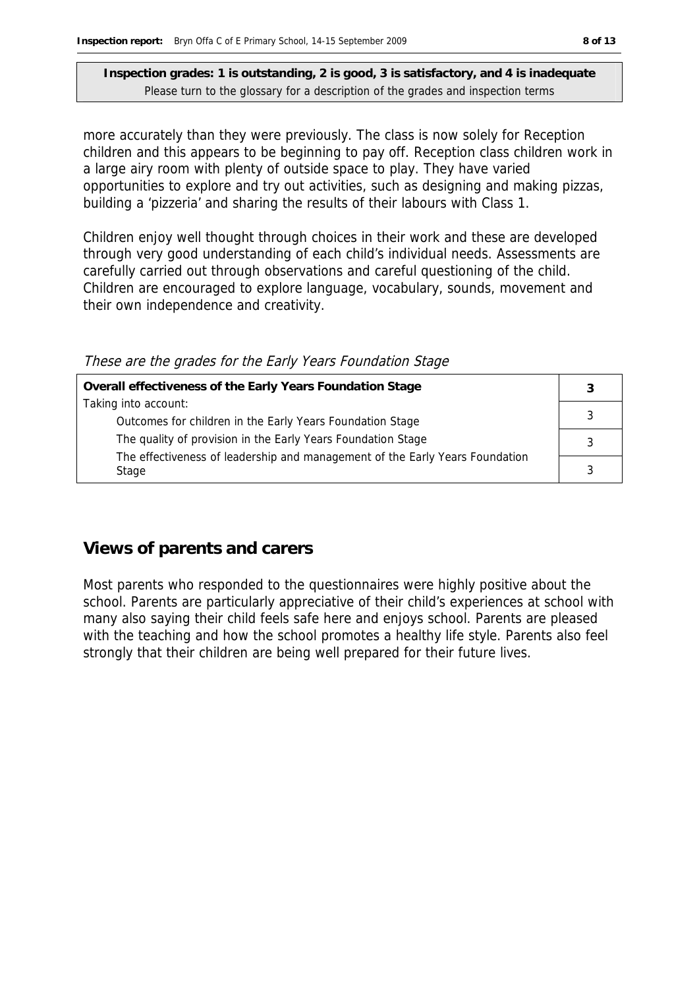more accurately than they were previously. The class is now solely for Reception children and this appears to be beginning to pay off. Reception class children work in a large airy room with plenty of outside space to play. They have varied opportunities to explore and try out activities, such as designing and making pizzas, building a 'pizzeria' and sharing the results of their labours with Class 1.

Children enjoy well thought through choices in their work and these are developed through very good understanding of each child's individual needs. Assessments are carefully carried out through observations and careful questioning of the child. Children are encouraged to explore language, vocabulary, sounds, movement and their own independence and creativity.

| Overall effectiveness of the Early Years Foundation Stage                    |  |
|------------------------------------------------------------------------------|--|
| Taking into account:                                                         |  |
| Outcomes for children in the Early Years Foundation Stage                    |  |
| The quality of provision in the Early Years Foundation Stage                 |  |
| The effectiveness of leadership and management of the Early Years Foundation |  |
| Stage                                                                        |  |
|                                                                              |  |

#### These are the grades for the Early Years Foundation Stage

#### **Views of parents and carers**

Most parents who responded to the questionnaires were highly positive about the school. Parents are particularly appreciative of their child's experiences at school with many also saying their child feels safe here and enjoys school. Parents are pleased with the teaching and how the school promotes a healthy life style. Parents also feel strongly that their children are being well prepared for their future lives.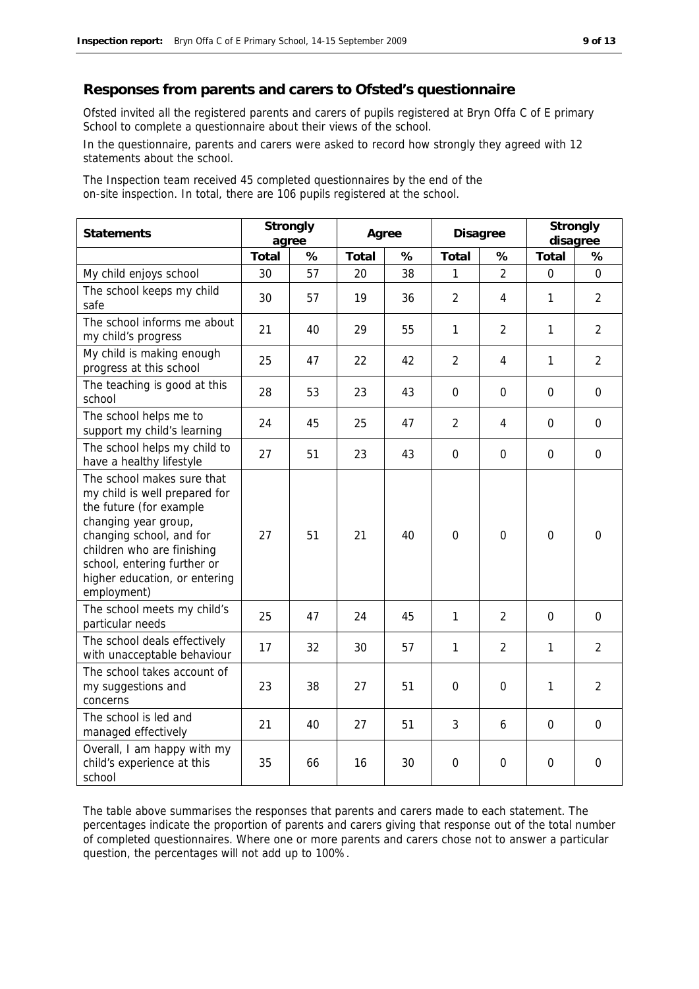#### **Responses from parents and carers to Ofsted's questionnaire**

Ofsted invited all the registered parents and carers of pupils registered at Bryn Offa C of E primary School to complete a questionnaire about their views of the school.

In the questionnaire, parents and carers were asked to record how strongly they agreed with 12 statements about the school.

The Inspection team received 45 completed questionnaires by the end of the on-site inspection. In total, there are 106 pupils registered at the school.

| Statements                                                                                                                                                                                                                                              | Strongly<br>agree |    | Agree |    | Disagree         |                | Strongly<br>disagree |                |
|---------------------------------------------------------------------------------------------------------------------------------------------------------------------------------------------------------------------------------------------------------|-------------------|----|-------|----|------------------|----------------|----------------------|----------------|
|                                                                                                                                                                                                                                                         | Total             | %  | Total | %  | Total            | %              | Total                | %              |
| My child enjoys school                                                                                                                                                                                                                                  | 30                | 57 | 20    | 38 | 1                | $\overline{2}$ | $\mathbf 0$          | $\overline{0}$ |
| The school keeps my child<br>safe                                                                                                                                                                                                                       | 30                | 57 | 19    | 36 | $\overline{2}$   | 4              | 1                    | $\overline{2}$ |
| The school informs me about<br>my child's progress                                                                                                                                                                                                      | 21                | 40 | 29    | 55 | 1                | $\overline{2}$ | 1                    | $\overline{2}$ |
| My child is making enough<br>progress at this school                                                                                                                                                                                                    | 25                | 47 | 22    | 42 | $\overline{2}$   | 4              | 1                    | $\overline{2}$ |
| The teaching is good at this<br>school                                                                                                                                                                                                                  | 28                | 53 | 23    | 43 | $\mathbf 0$      | $\mathbf 0$    | $\overline{0}$       | $\mathbf 0$    |
| The school helps me to<br>support my child's learning                                                                                                                                                                                                   | 24                | 45 | 25    | 47 | $\overline{2}$   | 4              | $\Omega$             | $\Omega$       |
| The school helps my child to<br>have a healthy lifestyle                                                                                                                                                                                                | 27                | 51 | 23    | 43 | $\mathbf 0$      | $\mathbf 0$    | $\mathbf 0$          | $\mathbf 0$    |
| The school makes sure that<br>my child is well prepared for<br>the future (for example<br>changing year group,<br>changing school, and for<br>children who are finishing<br>school, entering further or<br>higher education, or entering<br>employment) | 27                | 51 | 21    | 40 | $\mathbf 0$      | $\mathbf 0$    | $\overline{0}$       | $\mathbf 0$    |
| The school meets my child's<br>particular needs                                                                                                                                                                                                         | 25                | 47 | 24    | 45 | 1                | 2              | $\overline{0}$       | $\Omega$       |
| The school deals effectively<br>with unacceptable behaviour                                                                                                                                                                                             | 17                | 32 | 30    | 57 | 1                | $\overline{2}$ | 1                    | $\overline{2}$ |
| The school takes account of<br>my suggestions and<br>concerns                                                                                                                                                                                           | 23                | 38 | 27    | 51 | $\mathbf{0}$     | $\overline{0}$ | 1                    | $\overline{2}$ |
| The school is led and<br>managed effectively                                                                                                                                                                                                            | 21                | 40 | 27    | 51 | 3                | 6              | $\overline{0}$       | $\Omega$       |
| Overall, I am happy with my<br>child's experience at this<br>school                                                                                                                                                                                     | 35                | 66 | 16    | 30 | $\boldsymbol{0}$ | $\mathbf 0$    | $\mathbf 0$          | $\mathbf 0$    |

The table above summarises the responses that parents and carers made to each statement. The percentages indicate the proportion of parents and carers giving that response out of the total number of completed questionnaires. Where one or more parents and carers chose not to answer a particular question, the percentages will not add up to 100%.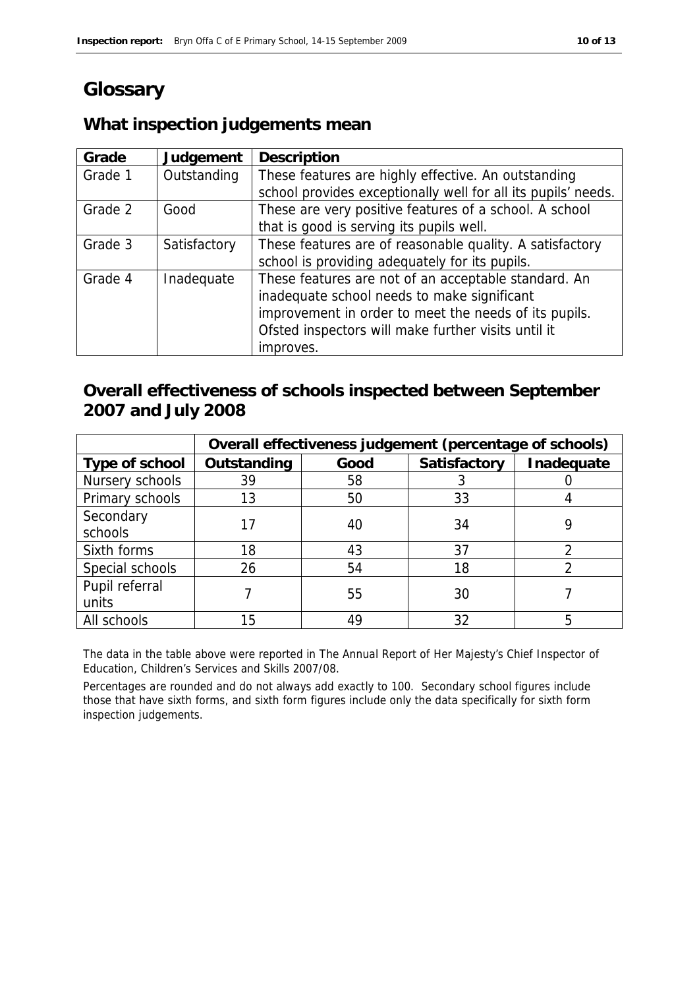# **Glossary**

## **What inspection judgements mean**

| Grade   | Judgement    | Description                                                   |
|---------|--------------|---------------------------------------------------------------|
| Grade 1 | Outstanding  | These features are highly effective. An outstanding           |
|         |              | school provides exceptionally well for all its pupils' needs. |
| Grade 2 | Good         | These are very positive features of a school. A school        |
|         |              | that is good is serving its pupils well.                      |
| Grade 3 | Satisfactory | These features are of reasonable quality. A satisfactory      |
|         |              | school is providing adequately for its pupils.                |
| Grade 4 | Inadequate   | These features are not of an acceptable standard. An          |
|         |              | inadequate school needs to make significant                   |
|         |              | improvement in order to meet the needs of its pupils.         |
|         |              | Ofsted inspectors will make further visits until it           |
|         |              | improves.                                                     |

## **Overall effectiveness of schools inspected between September 2007 and July 2008**

|                 | Overall effectiveness judgement (percentage of schools) |      |              |            |  |
|-----------------|---------------------------------------------------------|------|--------------|------------|--|
| Type of school  | Outstanding                                             | Good | Satisfactory | Inadequate |  |
| Nursery schools | 39                                                      | 58   |              |            |  |
| Primary schools | 13                                                      | 50   | 33           |            |  |
| Secondary       |                                                         | 40   | 34           |            |  |
| schools         |                                                         |      |              |            |  |
| Sixth forms     | 18                                                      | 43   | 37           |            |  |
| Special schools | 26                                                      | 54   | 18           |            |  |
| Pupil referral  |                                                         |      |              |            |  |
| units           |                                                         | 55   | 30           |            |  |
| All schools     | 15                                                      | 49   | 32           |            |  |

The data in the table above were reported in The Annual Report of Her Majesty's Chief Inspector of Education, Children's Services and Skills 2007/08.

Percentages are rounded and do not always add exactly to 100. Secondary school figures include those that have sixth forms, and sixth form figures include only the data specifically for sixth form inspection judgements.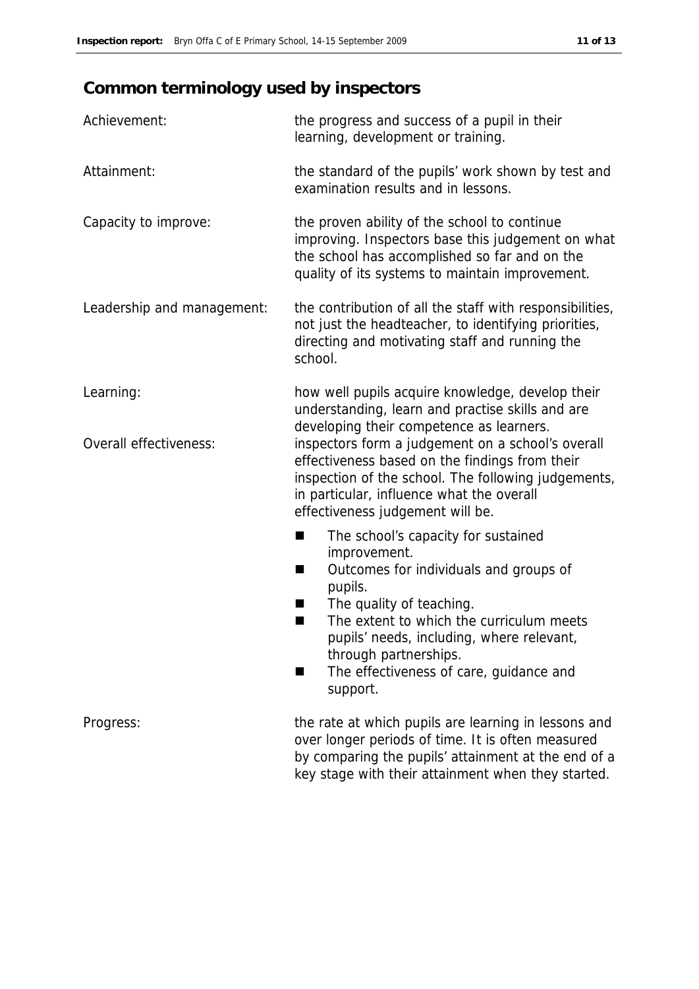# **Common terminology used by inspectors**

| Achievement:               | the progress and success of a pupil in their<br>learning, development or training.                                                                                                                                                          |
|----------------------------|---------------------------------------------------------------------------------------------------------------------------------------------------------------------------------------------------------------------------------------------|
| Attainment:                | the standard of the pupils' work shown by test and<br>examination results and in lessons.                                                                                                                                                   |
| Capacity to improve:       | the proven ability of the school to continue<br>improving. Inspectors base this judgement on what<br>the school has accomplished so far and on the<br>quality of its systems to maintain improvement.                                       |
| Leadership and management: | the contribution of all the staff with responsibilities,<br>not just the headteacher, to identifying priorities,<br>directing and motivating staff and running the<br>school.                                                               |
| Learning:                  | how well pupils acquire knowledge, develop their<br>understanding, learn and practise skills and are<br>developing their competence as learners.                                                                                            |
| Overall effectiveness:     | inspectors form a judgement on a school's overall<br>effectiveness based on the findings from their<br>inspection of the school. The following judgements,<br>in particular, influence what the overall<br>effectiveness judgement will be. |
|                            | The school's capacity for sustained<br>٠                                                                                                                                                                                                    |
|                            | improvement.<br>Outcomes for individuals and groups of<br>■<br>pupils.                                                                                                                                                                      |
|                            | The quality of teaching.<br>H<br>The extent to which the curriculum meets<br>■                                                                                                                                                              |
|                            | pupils' needs, including, where relevant,                                                                                                                                                                                                   |
|                            | through partnerships.<br>The effectiveness of care, guidance and<br>support.                                                                                                                                                                |
| Progress:                  | the rate at which pupils are learning in lessons and<br>over longer periods of time. It is often measured<br>by comparing the pupils' attainment at the end of a                                                                            |

key stage with their attainment when they started.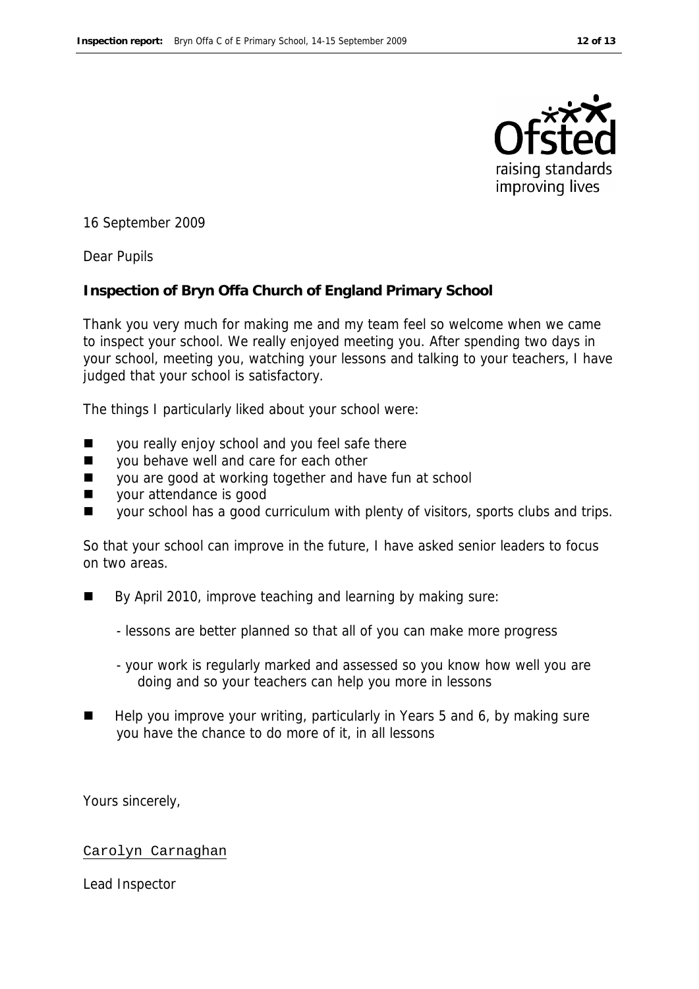

16 September 2009

Dear Pupils

**Inspection of Bryn Offa Church of England Primary School** 

Thank you very much for making me and my team feel so welcome when we came to inspect your school. We really enjoyed meeting you. After spending two days in your school, meeting you, watching your lessons and talking to your teachers, I have judged that your school is satisfactory.

The things I particularly liked about your school were:

- you really enjoy school and you feel safe there
- vou behave well and care for each other
- you are good at working together and have fun at school
- vour attendance is good
- your school has a good curriculum with plenty of visitors, sports clubs and trips.

So that your school can improve in the future, I have asked senior leaders to focus on two areas.

- By April 2010, improve teaching and learning by making sure:
	- lessons are better planned so that all of you can make more progress
	- your work is regularly marked and assessed so you know how well you are doing and so your teachers can help you more in lessons
- Help you improve your writing, particularly in Years 5 and 6, by making sure you have the chance to do more of it, in all lessons

Yours sincerely,

#### Carolyn Carnaghan

Lead Inspector